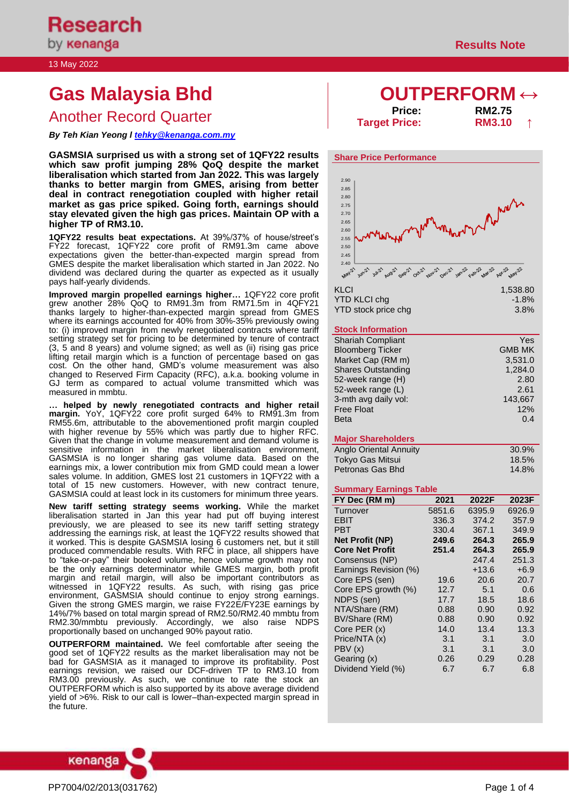# **Gas Malaysia Bhd OUTPERFORM ↔**

Another Record Quarter **Price: Price: RM2.75**<br>Target Price: **RM3.10** 

*By Teh Kian Yeong l [tehky@kenanga.com.my](mailto:tehky@kenanga.com.my)*

**GASMSIA surprised us with a strong set of 1QFY22 results which saw profit jumping 28% QoQ despite the market liberalisation which started from Jan 2022. This was largely thanks to better margin from GMES, arising from better deal in contract renegotiation coupled with higher retail market as gas price spiked. Going forth, earnings should stay elevated given the high gas prices. Maintain OP with a higher TP of RM3.10.** 

**1QFY22 results beat expectations.** At 39%/37% of house/street's FY22 forecast, 1QFY22 core profit of RM91.3m came above expectations given the better-than-expected margin spread from GMES despite the market liberalisation which started in Jan 2022. No dividend was declared during the quarter as expected as it usually pays half-yearly dividends.

**Improved margin propelled earnings higher…** 1QFY22 core profit grew another 28% QoQ to RM91.3m from RM71.5m in 4QFY21 thanks largely to higher-than-expected margin spread from GMES where its earnings accounted for 40% from 30%-35% previously owing to: (i) improved margin from newly renegotiated contracts where tariff setting strategy set for pricing to be determined by tenure of contract (3, 5 and 8 years) and volume signed; as well as (ii) rising gas price lifting retail margin which is a function of percentage based on gas cost. On the other hand, GMD's volume measurement was also changed to Reserved Firm Capacity (RFC), a.k.a. booking volume in GJ term as compared to actual volume transmitted which was measured in mmbtu.

**… helped by newly renegotiated contracts and higher retail margin.** YoY, 1QFY22 core profit surged 64% to RM91.3m from RM55.6m, attributable to the abovementioned profit margin coupled with higher revenue by 55% which was partly due to higher RFC. Given that the change in volume measurement and demand volume is sensitive information in the market liberalisation environment, GASMSIA is no longer sharing gas volume data. Based on the earnings mix, a lower contribution mix from GMD could mean a lower sales volume. In addition, GMES lost 21 customers in 1QFY22 with a total of 15 new customers. However, with new contract tenure, GASMSIA could at least lock in its customers for minimum three years.

**New tariff setting strategy seems working.** While the market liberalisation started in Jan this year had put off buying interest previously, we are pleased to see its new tariff setting strategy addressing the earnings risk, at least the 1QFY22 results showed that it worked. This is despite GASMSIA losing 6 customers net, but it still produced commendable results. With RFC in place, all shippers have to "take-or-pay" their booked volume, hence volume growth may not be the only earnings determinator while GMES margin, both profit margin and retail margin, will also be important contributors as witnessed in 1QFY22 results. As such, with rising gas price environment, GASMSIA should continue to enjoy strong earnings. Given the strong GMES margin, we raise FY22E/FY23E earnings by 14%/7% based on total margin spread of RM2.50/RM2.40 mmbtu from RM2.30/mmbtu previously. Accordingly, we also raise NDPS proportionally based on unchanged 90% payout ratio.

**OUTPERFORM maintained.** We feel comfortable after seeing the good set of 1QFY22 results as the market liberalisation may not be bad for GASMSIA as it managed to improve its profitability. Post earnings revision, we raised our DCF-driven TP to RM3.10 from RM3.00 previously. As such, we continue to rate the stock an OUTPERFORM which is also supported by its above average dividend yield of >6%. Risk to our call is lower–than-expected margin spread in the future.



**Target Price: RM3.10 ↑**



#### YTD KLCI chg<br>
YTD stock price cha<br>
3.8% YTD stock price chg

#### **Stock Information**

| <b>Shariah Compliant</b>  | Yes           |
|---------------------------|---------------|
| <b>Bloomberg Ticker</b>   | <b>GMB MK</b> |
| Market Cap (RM m)         | 3,531.0       |
| <b>Shares Outstanding</b> | 1,284.0       |
| 52-week range (H)         | 2.80          |
| 52-week range (L)         | 2.61          |
| 3-mth avg daily vol:      | 143,667       |
| <b>Free Float</b>         | 12%           |
| <b>Beta</b>               | 0.4           |
|                           |               |

#### **Major Shareholders**

| Anglo Oriental Annuity | 30.9% |
|------------------------|-------|
| Tokyo Gas Mitsui       | 18.5% |
| Petronas Gas Bhd       | 14.8% |

#### **Summary Earnings Table**

| FY Dec (RM m)          | 2021   | 2022F   | 2023F  |
|------------------------|--------|---------|--------|
| Turnover               | 5851.6 | 6395.9  | 6926.9 |
| EBIT                   | 336.3  | 374.2   | 357.9  |
| PBT                    | 330.4  | 367.1   | 349.9  |
| <b>Net Profit (NP)</b> | 249.6  | 264.3   | 265.9  |
| <b>Core Net Profit</b> | 251.4  | 264.3   | 265.9  |
| Consensus (NP)         |        | 247.4   | 251.3  |
| Earnings Revision (%)  |        | $+13.6$ | $+6.9$ |
| Core EPS (sen)         | 19.6   | 20.6    | 20.7   |
| Core EPS growth (%)    | 12.7   | 5.1     | 0.6    |
| NDPS (sen)             | 17.7   | 18.5    | 18.6   |
| NTA/Share (RM)         | 0.88   | 0.90    | 0.92   |
| BV/Share (RM)          | 0.88   | 0.90    | 0.92   |
| Core PER (x)           | 14.0   | 13.4    | 13.3   |
| Price/NTA (x)          | 3.1    | 3.1     | 3.0    |
| PBV (x)                | 3.1    | 3.1     | 3.0    |
| Gearing (x)            | 0.26   | 0.29    | 0.28   |
| Dividend Yield (%)     | 6.7    | 6.7     | 6.8    |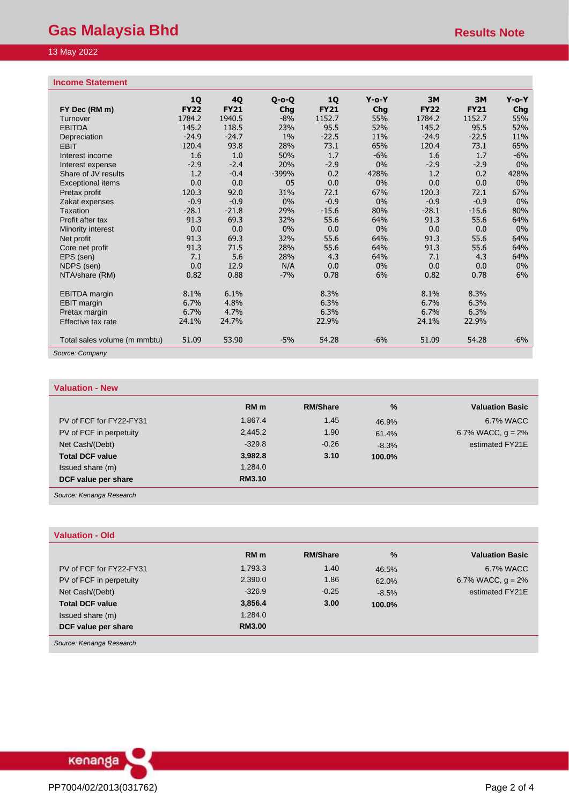### 13 May 2022

#### **Income Statement**

| $\cdots$                        |                          |                   |                    |                          |                 |                   |                   |                 |
|---------------------------------|--------------------------|-------------------|--------------------|--------------------------|-----------------|-------------------|-------------------|-----------------|
| FY Dec (RM m)                   | <b>1Q</b><br><b>FY22</b> | 4Q<br><b>FY21</b> | $O - O - O$<br>Chg | <b>1Q</b><br><b>FY21</b> | $Y$ -o-Y<br>Chg | 3M<br><b>FY22</b> | 3M<br><b>FY21</b> | $Y$ -o-Y<br>Chg |
| Turnover                        | 1784.2                   | 1940.5            | $-8%$              | 1152.7                   | 55%             | 1784.2            | 1152.7            | 55%             |
| <b>EBITDA</b>                   | 145.2                    | 118.5             | 23%                | 95.5                     | 52%             | 145.2             | 95.5              | 52%             |
| Depreciation                    | $-24.9$                  | $-24.7$           | $1\%$              | $-22.5$                  | 11%             | $-24.9$           | $-22.5$           | 11%             |
| <b>EBIT</b>                     | 120.4                    | 93.8              | 28%                | 73.1                     | 65%             | 120.4             | 73.1              | 65%             |
| Interest income                 | 1.6                      | 1.0               | 50%                | 1.7                      | $-6%$           | 1.6               | 1.7               | $-6%$           |
| Interest expense                | $-2.9$                   | $-2.4$            | 20%                | $-2.9$                   | $0\%$           | $-2.9$            | $-2.9$            | 0%              |
| Share of JV results             | 1.2                      | $-0.4$            | $-399%$            | 0.2                      | 428%            | 1.2               | 0.2               | 428%            |
|                                 | 0.0                      | 0.0               | 05                 | 0.0                      | $0\%$           | 0.0               | 0.0               | $0\%$           |
| <b>Exceptional items</b>        | 120.3                    | 92.0              | 31%                | 72.1                     | 67%             | 120.3             | 72.1              | 67%             |
| Pretax profit<br>Zakat expenses | $-0.9$                   | $-0.9$            | 0%                 | $-0.9$                   | $0\%$           | $-0.9$            | $-0.9$            | 0%              |
| <b>Taxation</b>                 |                          | $-21.8$           | 29%                |                          | 80%             | $-28.1$           |                   |                 |
|                                 | $-28.1$<br>91.3          | 69.3              | 32%                | $-15.6$                  | 64%             | 91.3              | $-15.6$           | 80%<br>64%      |
| Profit after tax                |                          | 0.0               | 0%                 | 55.6<br>0.0              |                 |                   | 55.6              | $0\%$           |
| Minority interest               | 0.0                      |                   |                    |                          | $0\%$           | 0.0               | 0.0               |                 |
| Net profit                      | 91.3                     | 69.3              | 32%                | 55.6                     | 64%             | 91.3              | 55.6              | 64%             |
| Core net profit                 | 91.3                     | 71.5              | 28%                | 55.6                     | 64%             | 91.3              | 55.6              | 64%             |
| EPS (sen)                       | 7.1                      | 5.6               | 28%                | 4.3                      | 64%             | 7.1               | 4.3               | 64%             |
| NDPS (sen)                      | 0.0                      | 12.9              | N/A                | 0.0                      | $0\%$           | 0.0               | 0.0               | $0\%$           |
| NTA/share (RM)                  | 0.82                     | 0.88              | $-7%$              | 0.78                     | 6%              | 0.82              | 0.78              | 6%              |
| <b>EBITDA</b> margin            | 8.1%                     | 6.1%              |                    | 8.3%                     |                 | 8.1%              | 8.3%              |                 |
| <b>EBIT</b> margin              | 6.7%                     | 4.8%              |                    | 6.3%                     |                 | 6.7%              | 6.3%              |                 |
| Pretax margin                   | 6.7%                     | 4.7%              |                    | 6.3%                     |                 | 6.7%              | 6.3%              |                 |
| Effective tax rate              | 24.1%                    | 24.7%             |                    | 22.9%                    |                 | 24.1%             | 22.9%             |                 |
| Total sales volume (m mmbtu)    | 51.09                    | 53.90             | $-5%$              | 54.28                    | $-6%$           | 51.09             | 54.28             | $-6%$           |
| Source: Company                 |                          |                   |                    |                          |                 |                   |                   |                 |

#### **Valuation - New**

|                         | RM <sub>m</sub> | <b>RM/Share</b> | $\%$    | <b>Valuation Basic</b> |
|-------------------------|-----------------|-----------------|---------|------------------------|
| PV of FCF for FY22-FY31 | 1,867.4         | 1.45            | 46.9%   | 6.7% WACC              |
| PV of FCF in perpetuity | 2,445.2         | 1.90            | 61.4%   | 6.7% WACC, $q = 2\%$   |
| Net Cash/(Debt)         | $-329.8$        | $-0.26$         | $-8.3%$ | estimated FY21E        |
| <b>Total DCF value</b>  | 3,982.8         | 3.10            | 100.0%  |                        |
| Issued share (m)        | 1,284.0         |                 |         |                        |
| DCF value per share     | <b>RM3.10</b>   |                 |         |                        |
|                         |                 |                 |         |                        |

*Source: Kenanga Research*

| <b>Valuation - Old</b>  |                 |                 |               |                        |
|-------------------------|-----------------|-----------------|---------------|------------------------|
|                         | RM <sub>m</sub> | <b>RM/Share</b> | $\frac{9}{6}$ | <b>Valuation Basic</b> |
| PV of FCF for FY22-FY31 | 1,793.3         | 1.40            | 46.5%         | 6.7% WACC              |
| PV of FCF in perpetuity | 2,390.0         | 1.86            | 62.0%         | 6.7% WACC, $q = 2\%$   |
| Net Cash/(Debt)         | $-326.9$        | $-0.25$         | $-8.5%$       | estimated FY21E        |
| <b>Total DCF value</b>  | 3,856.4         | 3.00            | 100.0%        |                        |
| Issued share (m)        | 1,284.0         |                 |               |                        |
| DCF value per share     | <b>RM3.00</b>   |                 |               |                        |

*Source: Kenanga Research*

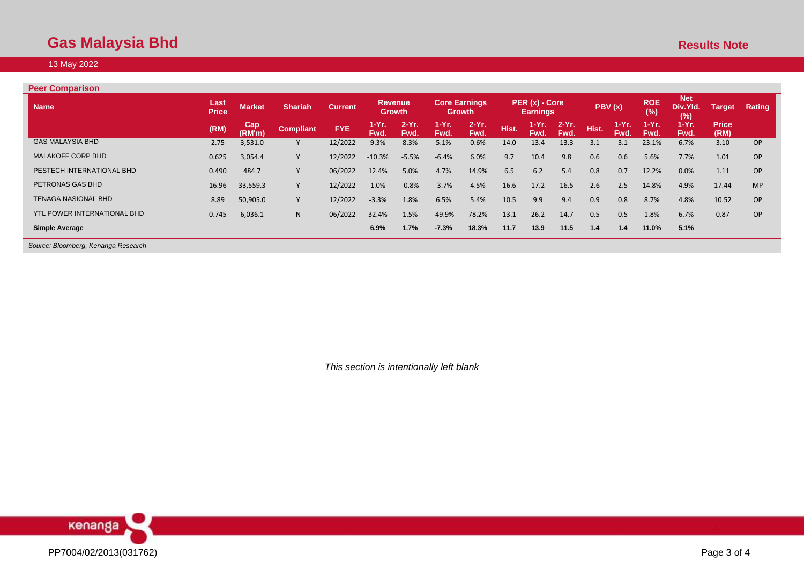## **Gas Malaysia Bhd Results Note** 2014 **Results Note** 2014 **Results Note** 2014 **Results Note**

#### 13 May 2022

| <b>Peer Comparison</b>             |                      |               |                  |                |                          |                  |               |                                       |       |                                   |                  |       |                 |                   |                               |                      |           |
|------------------------------------|----------------------|---------------|------------------|----------------|--------------------------|------------------|---------------|---------------------------------------|-------|-----------------------------------|------------------|-------|-----------------|-------------------|-------------------------------|----------------------|-----------|
| <b>Name</b>                        | Last<br><b>Price</b> | <b>Market</b> | <b>Shariah</b>   | <b>Current</b> | <b>Revenue</b><br>Growth |                  |               | <b>Core Earnings</b><br><b>Growth</b> |       | PER (x) - Core<br><b>Earnings</b> |                  |       | PBV(x)          | <b>ROE</b><br>(%) | <b>Net</b><br>Div.Yld.<br>(%) | <b>Target</b>        | Rating    |
|                                    | (RM)                 | Cap<br>(RM'm) | <b>Compliant</b> | <b>FYE</b>     | 1-Yr.<br>Fwd.            | $2-Yr$ .<br>Fwd. | 1-Yr.<br>Fwd. | $2-Yr$ .<br>Fwd.                      | Hist. | 1-Yr. .<br>Fwd.                   | $2-Yr$ .<br>Fwd. | Hist. | 1-Yr. .<br>Fwd. | 1-Yr.<br>Fwd.     | $1-Yr.$<br>Fwd.               | <b>Price</b><br>(RM) |           |
| <b>GAS MALAYSIA BHD</b>            | 2.75                 | 3,531.0       |                  | 12/2022        | 9.3%                     | 8.3%             | 5.1%          | 0.6%                                  | 14.0  | 13.4                              | 13.3             | 3.1   | 3.1             | 23.1%             | 6.7%                          | 3.10                 | <b>OP</b> |
| <b>MALAKOFF CORP BHD</b>           | 0.625                | 3,054.4       |                  | 12/2022        | $-10.3%$                 | $-5.5%$          | $-6.4%$       | 6.0%                                  | 9.7   | 10.4                              | 9.8              | 0.6   | 0.6             | 5.6%              | 7.7%                          | 1.01                 | OP        |
| PESTECH INTERNATIONAL BHD          | 0.490                | 484.7         |                  | 06/2022        | 12.4%                    | 5.0%             | 4.7%          | 14.9%                                 | 6.5   | 6.2                               | 5.4              | 0.8   | 0.7             | 12.2%             | 0.0%                          | 1.11                 | OP        |
| PETRONAS GAS BHD                   | 16.96                | 33,559.3      |                  | 12/2022        | 1.0%                     | $-0.8%$          | $-3.7%$       | 4.5%                                  | 16.6  | 17.2                              | 16.5             | 2.6   | 2.5             | 14.8%             | 4.9%                          | 17.44                | <b>MP</b> |
| TENAGA NASIONAL BHD                | 8.89                 | 50,905.0      |                  | 12/2022        | $-3.3%$                  | 1.8%             | 6.5%          | 5.4%                                  | 10.5  | 9.9                               | 9.4              | 0.9   | 0.8             | 8.7%              | 4.8%                          | 10.52                | OP        |
| <b>YTL POWER INTERNATIONAL BHD</b> | 0.745                | 6,036.1       | N.               | 06/2022        | 32.4%                    | 1.5%             | $-49.9%$      | 78.2%                                 | 13.1  | 26.2                              | 14.7             | 0.5   | 0.5             | 1.8%              | 6.7%                          | 0.87                 | OP        |
| <b>Simple Average</b>              |                      |               |                  |                | 6.9%                     | 1.7%             | $-7.3%$       | 18.3%                                 | 11.7  | 13.9                              | 11.5             | 1.4   | 1.4             | 11.0%             | 5.1%                          |                      |           |

*Source: Bloomberg, Kenanga Research*

*This section is intentionally left blank*